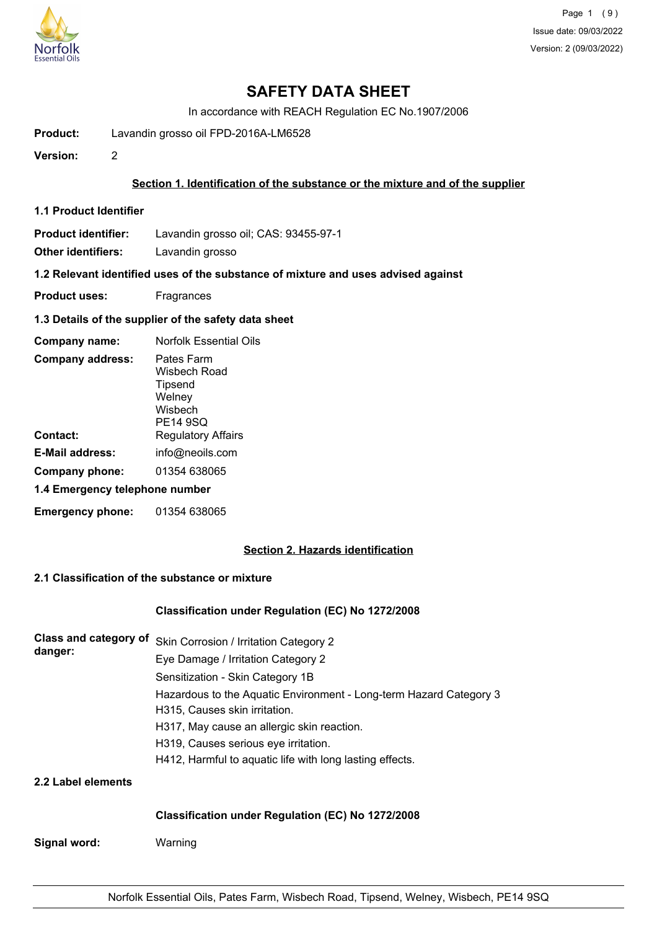

In accordance with REACH Regulation EC No.1907/2006

- **Product:** Lavandin grosso oil FPD-2016A-LM6528
- **Version:** 2

## **Section 1. Identification of the substance or the mixture and of the supplier**

**1.1 Product Identifier**

**Product identifier:** Lavandin grosso oil; CAS: 93455-97-1

**Other identifiers:** Lavandin grosso

# **1.2 Relevant identified uses of the substance of mixture and uses advised against**

- **Product uses:** Fragrances
- **1.3 Details of the supplier of the safety data sheet**

| Company name:                  | <b>Norfolk Essential Oils</b>                                          |
|--------------------------------|------------------------------------------------------------------------|
| <b>Company address:</b>        | Pates Farm<br>Wisbech Road<br>Tipsend<br>Welney<br>Wisbech<br>PE14 9SQ |
| Contact:                       | <b>Regulatory Affairs</b>                                              |
| E-Mail address:                | info@neoils.com                                                        |
| Company phone:                 | 01354 638065                                                           |
| 1.4 Emergency telephone number |                                                                        |
| <b>Emergency phone:</b>        | 01354 638065                                                           |

# **Section 2. Hazards identification**

# **2.1 Classification of the substance or mixture**

## **Classification under Regulation (EC) No 1272/2008**

| Class and category of | Skin Corrosion / Irritation Category 2                             |  |  |  |
|-----------------------|--------------------------------------------------------------------|--|--|--|
| danger:               | Eye Damage / Irritation Category 2                                 |  |  |  |
|                       | Sensitization - Skin Category 1B                                   |  |  |  |
|                       | Hazardous to the Aquatic Environment - Long-term Hazard Category 3 |  |  |  |
|                       | H315, Causes skin irritation.                                      |  |  |  |
|                       | H317, May cause an allergic skin reaction.                         |  |  |  |
|                       | H319, Causes serious eye irritation.                               |  |  |  |
|                       | H412, Harmful to aquatic life with long lasting effects.           |  |  |  |
| 2.2 Label elements    |                                                                    |  |  |  |
|                       | Classification under Regulation (EC) No 1272/2008                  |  |  |  |

**Signal word:** Warning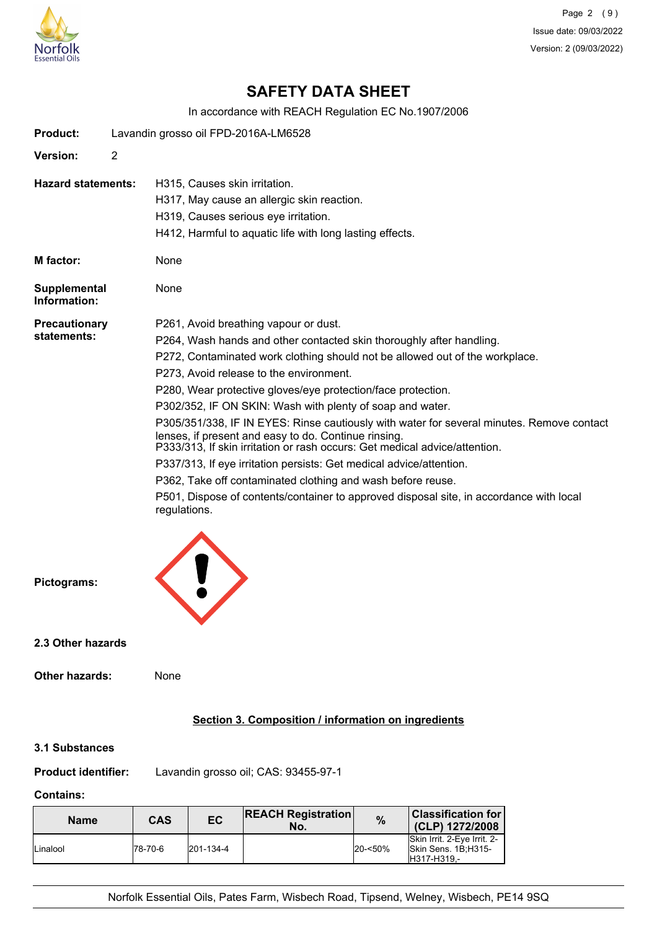

Page 2 (9) Issue date: 09/03/2022 Version: 2 (09/03/2022)

# **SAFETY DATA SHEET**

In accordance with REACH Regulation EC No.1907/2006

| <b>Product:</b>                     |                | Lavandin grosso oil FPD-2016A-LM6528                                                                                                                                                                                            |
|-------------------------------------|----------------|---------------------------------------------------------------------------------------------------------------------------------------------------------------------------------------------------------------------------------|
| <b>Version:</b>                     | $\overline{2}$ |                                                                                                                                                                                                                                 |
| <b>Hazard statements:</b>           |                | H315, Causes skin irritation.<br>H317, May cause an allergic skin reaction.                                                                                                                                                     |
|                                     |                | H319, Causes serious eye irritation.                                                                                                                                                                                            |
|                                     |                | H412, Harmful to aquatic life with long lasting effects.                                                                                                                                                                        |
| M factor:                           |                | None                                                                                                                                                                                                                            |
| <b>Supplemental</b><br>Information: |                | None                                                                                                                                                                                                                            |
| <b>Precautionary</b>                |                | P261, Avoid breathing vapour or dust.                                                                                                                                                                                           |
| statements:                         |                | P264, Wash hands and other contacted skin thoroughly after handling.                                                                                                                                                            |
|                                     |                | P272, Contaminated work clothing should not be allowed out of the workplace.                                                                                                                                                    |
|                                     |                | P273, Avoid release to the environment.                                                                                                                                                                                         |
|                                     |                | P280, Wear protective gloves/eye protection/face protection.                                                                                                                                                                    |
|                                     |                | P302/352, IF ON SKIN: Wash with plenty of soap and water.                                                                                                                                                                       |
|                                     |                | P305/351/338, IF IN EYES: Rinse cautiously with water for several minutes. Remove contact<br>lenses, if present and easy to do. Continue rinsing.<br>P333/313, If skin irritation or rash occurs: Get medical advice/attention. |
|                                     |                | P337/313, If eye irritation persists: Get medical advice/attention.                                                                                                                                                             |
|                                     |                | P362, Take off contaminated clothing and wash before reuse.                                                                                                                                                                     |
|                                     |                | P501, Dispose of contents/container to approved disposal site, in accordance with local<br>regulations.                                                                                                                         |
| Pictograms:                         |                |                                                                                                                                                                                                                                 |
|                                     |                |                                                                                                                                                                                                                                 |
| 2.3 Other hazards                   |                |                                                                                                                                                                                                                                 |
| Other hazards:                      |                | None                                                                                                                                                                                                                            |

# **Section 3. Composition / information on ingredients**

#### **3.1 Substances**

**Product identifier:** Lavandin grosso oil; CAS: 93455-97-1

# **Contains:**

| <b>Name</b> | CAS      | EC        | <b>REACH Registration</b><br>No. | $\frac{9}{6}$ | <b>Classification for</b><br>(CLP) 1272/2008                      |
|-------------|----------|-----------|----------------------------------|---------------|-------------------------------------------------------------------|
| Linalool    | 178-70-6 | 201-134-4 |                                  | $20 - 50%$    | Skin Irrit. 2-Eye Irrit. 2-<br>Skin Sens. 1B:H315-<br>H317-H319.- |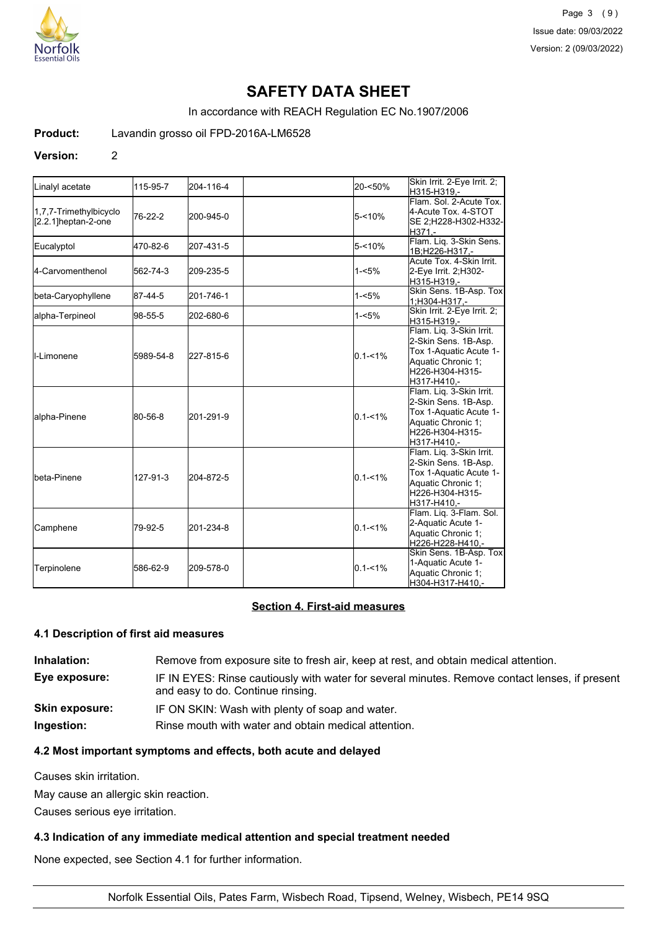

In accordance with REACH Regulation EC No.1907/2006

**Product:** Lavandin grosso oil FPD-2016A-LM6528

#### **Version:** 2

| Linalyl acetate                               | 115-95-7  | 204-116-4 | 20-<50%     | Skin Irrit. 2-Eye Irrit. 2;<br>H315-H319,-                                                                                         |
|-----------------------------------------------|-----------|-----------|-------------|------------------------------------------------------------------------------------------------------------------------------------|
| 1,7,7-Trimethylbicyclo<br>[2.2.1]heptan-2-one | 76-22-2   | 200-945-0 | $5 - 10%$   | Flam, Sol. 2-Acute Tox.<br>4-Acute Tox. 4-STOT<br>SE 2;H228-H302-H332-<br>H371.-                                                   |
| Eucalyptol                                    | 470-82-6  | 207-431-5 | $5 - 10%$   | Flam. Liq. 3-Skin Sens.<br>1B:H226-H317.-                                                                                          |
| l4-Carvomenthenol                             | 562-74-3  | 209-235-5 | $1 - 5%$    | Acute Tox, 4-Skin Irrit.<br>2-Eye Irrit. 2:H302-<br>H315-H319,-                                                                    |
| beta-Caryophyllene                            | 87-44-5   | 201-746-1 | $1 - 5%$    | Skin Sens. 1B-Asp. Tox<br>1;H304-H317,-                                                                                            |
| alpha-Terpineol                               | 98-55-5   | 202-680-6 | $1 - 5%$    | Skin Irrit. 2-Eye Irrit. 2;<br>H315-H319,-                                                                                         |
| <b>I</b> I-Limonene                           | 5989-54-8 | 227-815-6 | $0.1 - 1\%$ | Flam. Liq. 3-Skin Irrit.<br>2-Skin Sens. 1B-Asp.<br>Tox 1-Aquatic Acute 1-<br>Aquatic Chronic 1:<br>H226-H304-H315-<br>H317-H410,- |
| alpha-Pinene                                  | 80-56-8   | 201-291-9 | $0.1 - 1\%$ | Flam. Liq. 3-Skin Irrit.<br>2-Skin Sens. 1B-Asp.<br>Tox 1-Aquatic Acute 1-<br>Aquatic Chronic 1:<br>H226-H304-H315-<br>H317-H410.- |
| <b>I</b> beta-Pinene                          | 127-91-3  | 204-872-5 | $0.1 - 1\%$ | Flam. Liq. 3-Skin Irrit.<br>2-Skin Sens. 1B-Asp.<br>Tox 1-Aquatic Acute 1-<br>Aquatic Chronic 1:<br>H226-H304-H315-<br>H317-H410,- |
| Camphene                                      | 79-92-5   | 201-234-8 | $0.1 - 1%$  | Flam. Liq. 3-Flam. Sol.<br>2-Aquatic Acute 1-<br>Aquatic Chronic 1;<br>H226-H228-H410,-                                            |
| Terpinolene                                   | 586-62-9  | 209-578-0 | $0.1 - 1\%$ | Skin Sens. 1B-Asp. Tox<br>1-Aquatic Acute 1-<br>Aquatic Chronic 1;<br>H304-H317-H410,-                                             |

### **Section 4. First-aid measures**

#### **4.1 Description of first aid measures**

**Inhalation:** Remove from exposure site to fresh air, keep at rest, and obtain medical attention. **Eye exposure:** IF IN EYES: Rinse cautiously with water for several minutes. Remove contact lenses, if present and easy to do. Continue rinsing. **Skin exposure:** IF ON SKIN: Wash with plenty of soap and water. **Ingestion:** Rinse mouth with water and obtain medical attention.

# **4.2 Most important symptoms and effects, both acute and delayed**

Causes skin irritation.

May cause an allergic skin reaction.

Causes serious eye irritation.

## **4.3 Indication of any immediate medical attention and special treatment needed**

None expected, see Section 4.1 for further information.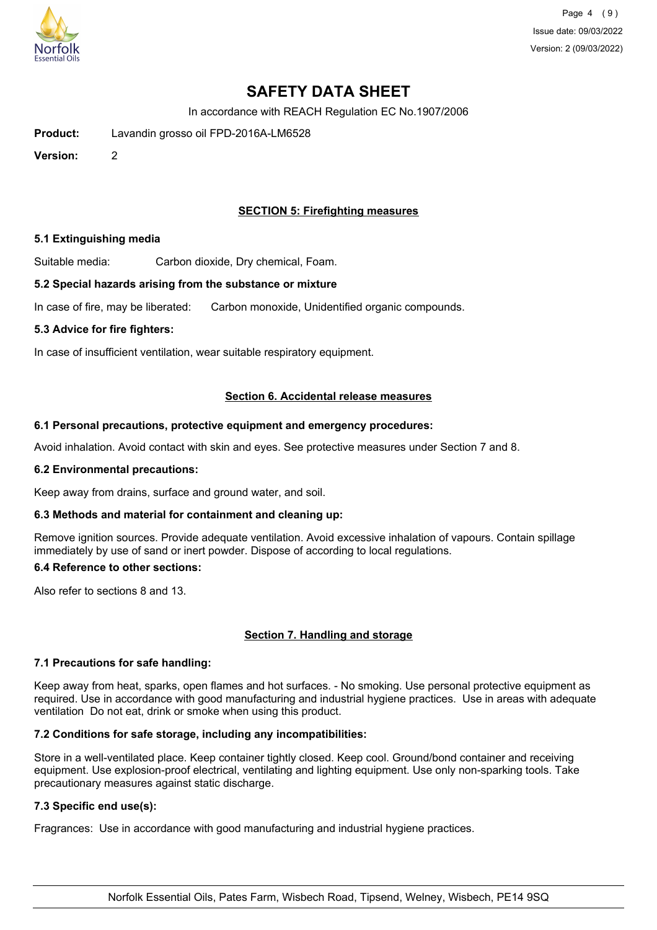

In accordance with REACH Regulation EC No.1907/2006

**Product:** Lavandin grosso oil FPD-2016A-LM6528

**Version:** 2

# **SECTION 5: Firefighting measures**

### **5.1 Extinguishing media**

Suitable media: Carbon dioxide, Dry chemical, Foam.

#### **5.2 Special hazards arising from the substance or mixture**

In case of fire, may be liberated: Carbon monoxide, Unidentified organic compounds.

#### **5.3 Advice for fire fighters:**

In case of insufficient ventilation, wear suitable respiratory equipment.

#### **Section 6. Accidental release measures**

#### **6.1 Personal precautions, protective equipment and emergency procedures:**

Avoid inhalation. Avoid contact with skin and eyes. See protective measures under Section 7 and 8.

#### **6.2 Environmental precautions:**

Keep away from drains, surface and ground water, and soil.

## **6.3 Methods and material for containment and cleaning up:**

Remove ignition sources. Provide adequate ventilation. Avoid excessive inhalation of vapours. Contain spillage immediately by use of sand or inert powder. Dispose of according to local regulations.

#### **6.4 Reference to other sections:**

Also refer to sections 8 and 13.

## **Section 7. Handling and storage**

## **7.1 Precautions for safe handling:**

Keep away from heat, sparks, open flames and hot surfaces. - No smoking. Use personal protective equipment as required. Use in accordance with good manufacturing and industrial hygiene practices. Use in areas with adequate ventilation Do not eat, drink or smoke when using this product.

## **7.2 Conditions for safe storage, including any incompatibilities:**

Store in a well-ventilated place. Keep container tightly closed. Keep cool. Ground/bond container and receiving equipment. Use explosion-proof electrical, ventilating and lighting equipment. Use only non-sparking tools. Take precautionary measures against static discharge.

## **7.3 Specific end use(s):**

Fragrances: Use in accordance with good manufacturing and industrial hygiene practices.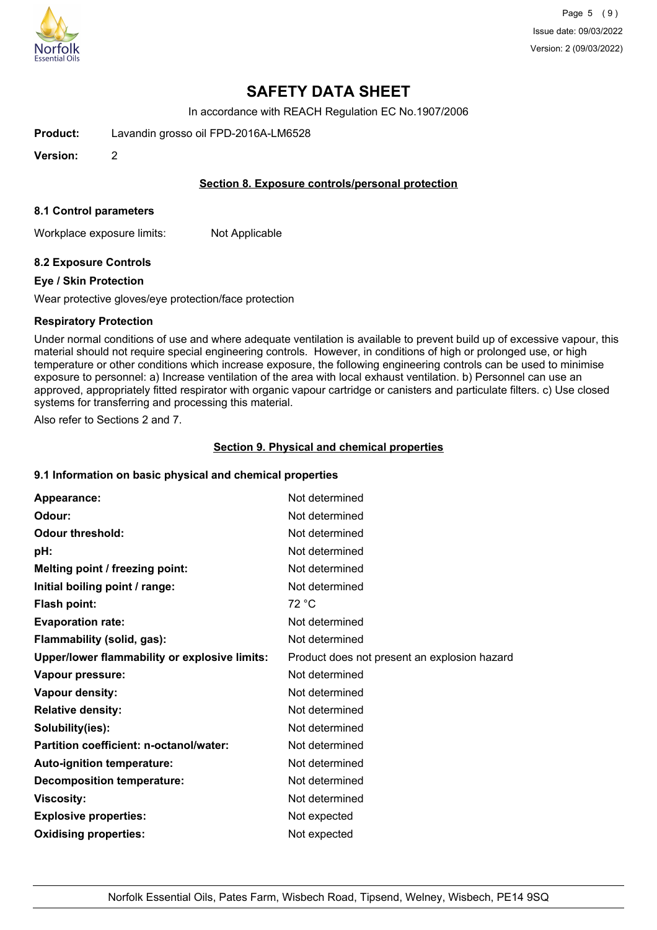

In accordance with REACH Regulation EC No.1907/2006

**Product:** Lavandin grosso oil FPD-2016A-LM6528

**Version:** 2

### **Section 8. Exposure controls/personal protection**

#### **8.1 Control parameters**

Workplace exposure limits: Not Applicable

## **8.2 Exposure Controls**

#### **Eye / Skin Protection**

Wear protective gloves/eye protection/face protection

#### **Respiratory Protection**

Under normal conditions of use and where adequate ventilation is available to prevent build up of excessive vapour, this material should not require special engineering controls. However, in conditions of high or prolonged use, or high temperature or other conditions which increase exposure, the following engineering controls can be used to minimise exposure to personnel: a) Increase ventilation of the area with local exhaust ventilation. b) Personnel can use an approved, appropriately fitted respirator with organic vapour cartridge or canisters and particulate filters. c) Use closed systems for transferring and processing this material.

Also refer to Sections 2 and 7.

## **Section 9. Physical and chemical properties**

## **9.1 Information on basic physical and chemical properties**

| Appearance:                                   | Not determined                               |
|-----------------------------------------------|----------------------------------------------|
| Odour:                                        | Not determined                               |
| <b>Odour threshold:</b>                       | Not determined                               |
| pH:                                           | Not determined                               |
| Melting point / freezing point:               | Not determined                               |
| Initial boiling point / range:                | Not determined                               |
| Flash point:                                  | 72 °C                                        |
| <b>Evaporation rate:</b>                      | Not determined                               |
| Flammability (solid, gas):                    | Not determined                               |
| Upper/lower flammability or explosive limits: | Product does not present an explosion hazard |
| Vapour pressure:                              | Not determined                               |
| Vapour density:                               | Not determined                               |
| <b>Relative density:</b>                      | Not determined                               |
| Solubility(ies):                              | Not determined                               |
| Partition coefficient: n-octanol/water:       | Not determined                               |
| Auto-ignition temperature:                    | Not determined                               |
| <b>Decomposition temperature:</b>             | Not determined                               |
| <b>Viscosity:</b>                             | Not determined                               |
| <b>Explosive properties:</b>                  | Not expected                                 |
| <b>Oxidising properties:</b>                  | Not expected                                 |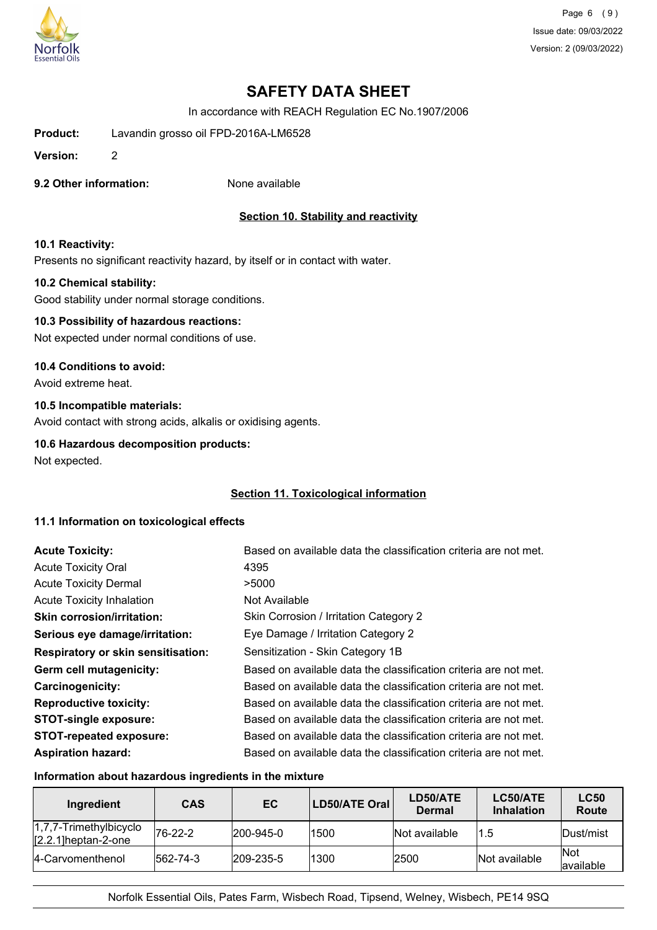

Page 6 (9) Issue date: 09/03/2022 Version: 2 (09/03/2022)

# **SAFETY DATA SHEET**

In accordance with REACH Regulation EC No.1907/2006

**Product:** Lavandin grosso oil FPD-2016A-LM6528

**Version:** 2

**9.2 Other information:** None available

# **Section 10. Stability and reactivity**

#### **10.1 Reactivity:**

Presents no significant reactivity hazard, by itself or in contact with water.

#### **10.2 Chemical stability:**

Good stability under normal storage conditions.

# **10.3 Possibility of hazardous reactions:**

Not expected under normal conditions of use.

#### **10.4 Conditions to avoid:**

Avoid extreme heat.

#### **10.5 Incompatible materials:**

Avoid contact with strong acids, alkalis or oxidising agents.

## **10.6 Hazardous decomposition products:**

Not expected.

#### **Section 11. Toxicological information**

#### **11.1 Information on toxicological effects**

| <b>Acute Toxicity:</b>                    | Based on available data the classification criteria are not met. |
|-------------------------------------------|------------------------------------------------------------------|
| <b>Acute Toxicity Oral</b>                | 4395                                                             |
| <b>Acute Toxicity Dermal</b>              | >5000                                                            |
| <b>Acute Toxicity Inhalation</b>          | Not Available                                                    |
| <b>Skin corrosion/irritation:</b>         | Skin Corrosion / Irritation Category 2                           |
| Serious eye damage/irritation:            | Eye Damage / Irritation Category 2                               |
| <b>Respiratory or skin sensitisation:</b> | Sensitization - Skin Category 1B                                 |
| Germ cell mutagenicity:                   | Based on available data the classification criteria are not met. |
| <b>Carcinogenicity:</b>                   | Based on available data the classification criteria are not met. |
| <b>Reproductive toxicity:</b>             | Based on available data the classification criteria are not met. |
| <b>STOT-single exposure:</b>              | Based on available data the classification criteria are not met. |
| <b>STOT-repeated exposure:</b>            | Based on available data the classification criteria are not met. |
| <b>Aspiration hazard:</b>                 | Based on available data the classification criteria are not met. |

## **Information about hazardous ingredients in the mixture**

| Ingredient                                          | <b>CAS</b> | EC                | LD50/ATE Oral | LD50/ATE<br><b>Dermal</b> | LC50/ATE<br><b>Inhalation</b> | <b>LC50</b><br>Route      |
|-----------------------------------------------------|------------|-------------------|---------------|---------------------------|-------------------------------|---------------------------|
| $1,7,7$ -Trimethylbicyclo<br>$[2.2.1]$ heptan-2-one | $76-22-2$  | $ 200 - 945 - 0 $ | 1500          | Not available             | 1.5                           | Dust/mist                 |
| 4-Carvomenthenol                                    | 562-74-3   | $ 209 - 235 - 5 $ | 1300          | 2500                      | Not available                 | <b>INot</b><br>lavailable |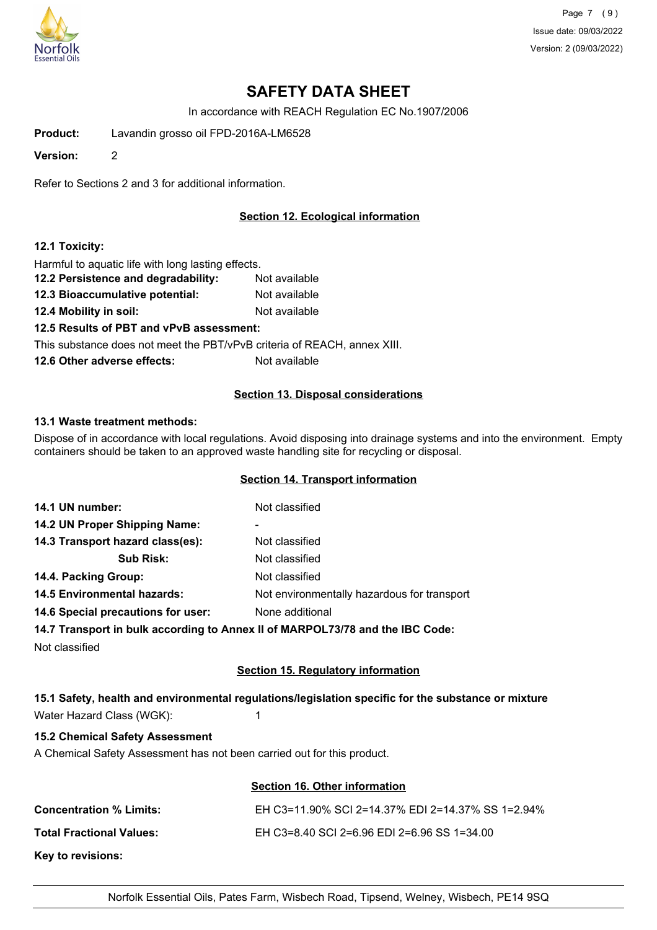

Page 7 (9) Issue date: 09/03/2022 Version: 2 (09/03/2022)

# **SAFETY DATA SHEET**

In accordance with REACH Regulation EC No.1907/2006

**Product:** Lavandin grosso oil FPD-2016A-LM6528

**Version:** 2

Refer to Sections 2 and 3 for additional information.

# **Section 12. Ecological information**

#### **12.1 Toxicity:**

Harmful to aquatic life with long lasting effects.

- **12.2 Persistence and degradability:** Not available **12.3 Bioaccumulative potential:** Not available
- **12.4 Mobility in soil:** Not available

**12.5 Results of PBT and vPvB assessment:**

This substance does not meet the PBT/vPvB criteria of REACH, annex XIII.

**12.6 Other adverse effects:** Not available

#### **Section 13. Disposal considerations**

#### **13.1 Waste treatment methods:**

Dispose of in accordance with local regulations. Avoid disposing into drainage systems and into the environment. Empty containers should be taken to an approved waste handling site for recycling or disposal.

### **Section 14. Transport information**

| 14.1 UN number:                    | Not classified                                                                 |
|------------------------------------|--------------------------------------------------------------------------------|
| 14.2 UN Proper Shipping Name:      | -                                                                              |
| 14.3 Transport hazard class(es):   | Not classified                                                                 |
| <b>Sub Risk:</b>                   | Not classified                                                                 |
| 14.4. Packing Group:               | Not classified                                                                 |
| <b>14.5 Environmental hazards:</b> | Not environmentally hazardous for transport                                    |
| 14.6 Special precautions for user: | None additional                                                                |
|                                    | 14.7 Transport in bulk according to Annoy II of MADDOI 73/78 and the IBC Code: |

## **14.7 Transport in bulk according to Annex II of MARPOL73/78 and the IBC Code:**

Not classified

# **Section 15. Regulatory information**

# **15.1 Safety, health and environmental regulations/legislation specific for the substance or mixture** Water Hazard Class (WGK): 1

# **15.2 Chemical Safety Assessment**

A Chemical Safety Assessment has not been carried out for this product.

#### **Section 16. Other information**

| <b>Concentration % Limits:</b>  | EH C3=11.90% SCI 2=14.37% EDI 2=14.37% SS 1=2.94% |
|---------------------------------|---------------------------------------------------|
| <b>Total Fractional Values:</b> | EH C3=8.40 SCI 2=6.96 EDI 2=6.96 SS 1=34.00       |
| Key to revisions:               |                                                   |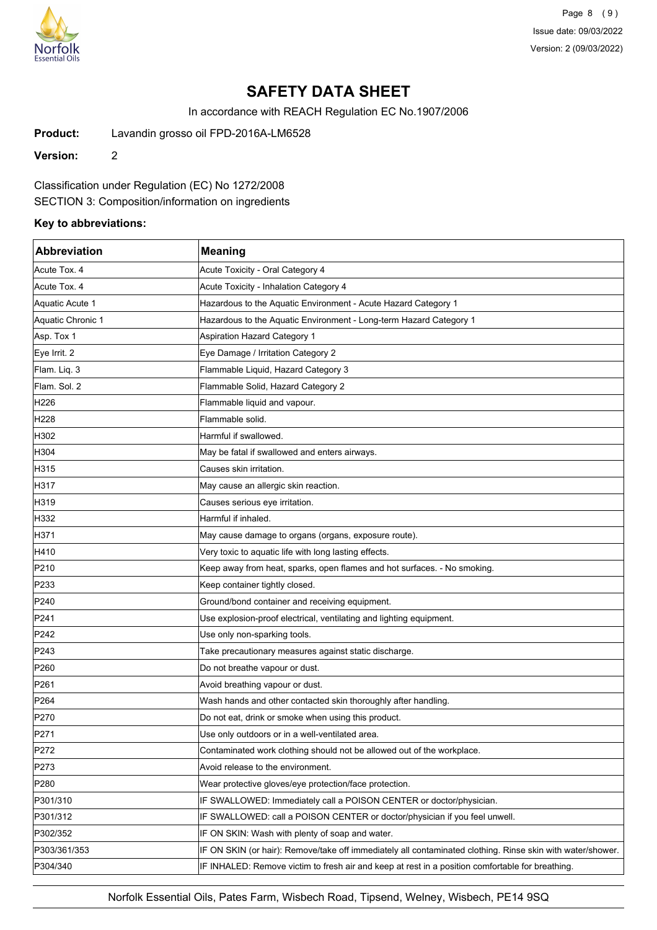

Page 8 (9) Issue date: 09/03/2022 Version: 2 (09/03/2022)

# **SAFETY DATA SHEET**

In accordance with REACH Regulation EC No.1907/2006

**Product:** Lavandin grosso oil FPD-2016A-LM6528

**Version:** 2

Classification under Regulation (EC) No 1272/2008

SECTION 3: Composition/information on ingredients

# **Key to abbreviations:**

| <b>Abbreviation</b> | <b>Meaning</b>                                                                                             |
|---------------------|------------------------------------------------------------------------------------------------------------|
| Acute Tox. 4        | Acute Toxicity - Oral Category 4                                                                           |
| Acute Tox. 4        | Acute Toxicity - Inhalation Category 4                                                                     |
| Aquatic Acute 1     | Hazardous to the Aquatic Environment - Acute Hazard Category 1                                             |
| Aquatic Chronic 1   | Hazardous to the Aquatic Environment - Long-term Hazard Category 1                                         |
| Asp. Tox 1          | <b>Aspiration Hazard Category 1</b>                                                                        |
| Eye Irrit. 2        | Eye Damage / Irritation Category 2                                                                         |
| Flam. Liq. 3        | Flammable Liquid, Hazard Category 3                                                                        |
| Flam. Sol. 2        | Flammable Solid, Hazard Category 2                                                                         |
| H226                | Flammable liquid and vapour.                                                                               |
| H228                | Flammable solid.                                                                                           |
| H302                | Harmful if swallowed.                                                                                      |
| H304                | May be fatal if swallowed and enters airways.                                                              |
| H315                | Causes skin irritation.                                                                                    |
| H317                | May cause an allergic skin reaction.                                                                       |
| H319                | Causes serious eye irritation.                                                                             |
| H332                | Harmful if inhaled.                                                                                        |
| H371                | May cause damage to organs (organs, exposure route).                                                       |
| H410                | Very toxic to aquatic life with long lasting effects.                                                      |
| P210                | Keep away from heat, sparks, open flames and hot surfaces. - No smoking.                                   |
| P233                | Keep container tightly closed.                                                                             |
| P240                | Ground/bond container and receiving equipment.                                                             |
| P241                | Use explosion-proof electrical, ventilating and lighting equipment.                                        |
| P242                | Use only non-sparking tools.                                                                               |
| P243                | Take precautionary measures against static discharge.                                                      |
| P <sub>260</sub>    | Do not breathe vapour or dust.                                                                             |
| P261                | Avoid breathing vapour or dust.                                                                            |
| P <sub>264</sub>    | Wash hands and other contacted skin thoroughly after handling.                                             |
| P270                | Do not eat, drink or smoke when using this product.                                                        |
| P271                | Use only outdoors or in a well-ventilated area.                                                            |
| P272                | Contaminated work clothing should not be allowed out of the workplace.                                     |
| P273                | Avoid release to the environment.                                                                          |
| P280                | Wear protective gloves/eye protection/face protection.                                                     |
| P301/310            | IF SWALLOWED: Immediately call a POISON CENTER or doctor/physician.                                        |
| P301/312            | IF SWALLOWED: call a POISON CENTER or doctor/physician if you feel unwell.                                 |
| P302/352            | IF ON SKIN: Wash with plenty of soap and water.                                                            |
| P303/361/353        | IF ON SKIN (or hair): Remove/take off immediately all contaminated clothing. Rinse skin with water/shower. |
| P304/340            | IF INHALED: Remove victim to fresh air and keep at rest in a position comfortable for breathing.           |

Norfolk Essential Oils, Pates Farm, Wisbech Road, Tipsend, Welney, Wisbech, PE14 9SQ